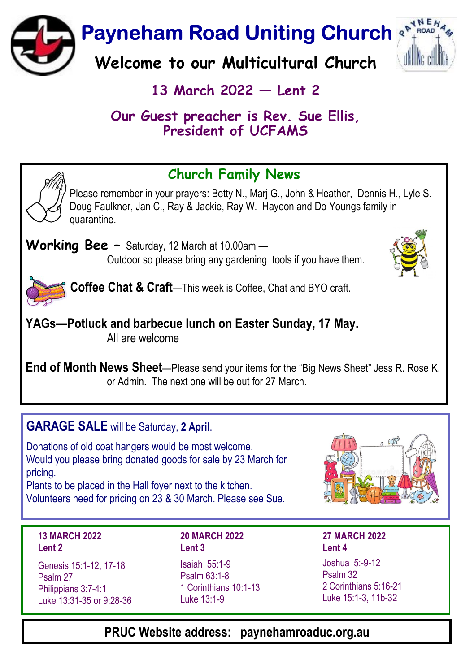**Payneham Road Uniting Church &** 

Welcome to our Multicultural Church

13 March  $2022$  – Lent 2

Our Guest preacher is Rev. Sue Ellis. President of UCFAMS



## GARAGE SALE will be Saturday, 2 April.

Donations of old coat hangers would be most welcome. Would you please bring donated goods for sale by 23 March for pricing.

Plants to be placed in the Hall foyer next to the kitchen. Volunteers need for pricing on 23 & 30 March. Please see Sue.



13 MARCH 2022 Lent 2

Genesis 15:1-12, 17-18 Psalm 27 Philippians 3:7-4:1 Luke 13:31-35 or 9:28-36 20 MARCH 2022 Lent 3

Isaiah 55:1-9 Psalm 63:1-8 1 Corinthians 10:1-13 Luke 13:1-9

Lent 4 Joshua 5:-9-12 Psalm 32 2 Corinthians 5:16-21 Luke 15:1-3, 11b-32

27 MARCH 2022

## PRUC Website address: paynehamroaduc.org.au